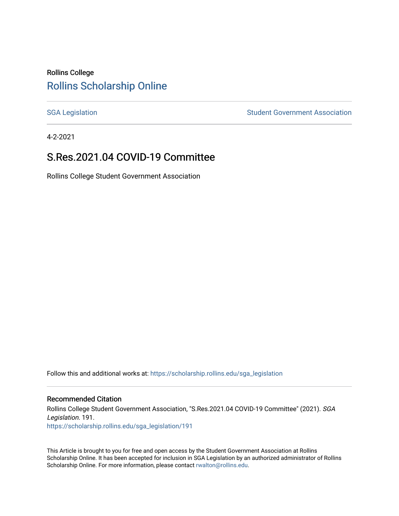### Rollins College [Rollins Scholarship Online](https://scholarship.rollins.edu/)

[SGA Legislation](https://scholarship.rollins.edu/sga_legislation) SGA Legislation Student Government Association

4-2-2021

### S.Res.2021.04 COVID-19 Committee

Rollins College Student Government Association

Follow this and additional works at: [https://scholarship.rollins.edu/sga\\_legislation](https://scholarship.rollins.edu/sga_legislation?utm_source=scholarship.rollins.edu%2Fsga_legislation%2F191&utm_medium=PDF&utm_campaign=PDFCoverPages) 

#### Recommended Citation

Rollins College Student Government Association, "S.Res.2021.04 COVID-19 Committee" (2021). SGA Legislation. 191. [https://scholarship.rollins.edu/sga\\_legislation/191](https://scholarship.rollins.edu/sga_legislation/191?utm_source=scholarship.rollins.edu%2Fsga_legislation%2F191&utm_medium=PDF&utm_campaign=PDFCoverPages) 

This Article is brought to you for free and open access by the Student Government Association at Rollins Scholarship Online. It has been accepted for inclusion in SGA Legislation by an authorized administrator of Rollins Scholarship Online. For more information, please contact [rwalton@rollins.edu](mailto:rwalton@rollins.edu).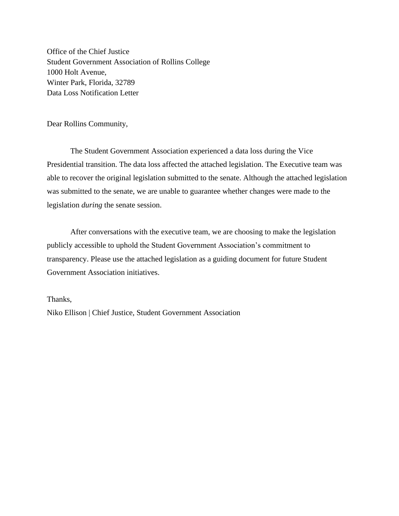Office of the Chief Justice Student Government Association of Rollins College 1000 Holt Avenue, Winter Park, Florida, 32789 Data Loss Notification Letter

Dear Rollins Community,

The Student Government Association experienced a data loss during the Vice Presidential transition. The data loss affected the attached legislation. The Executive team was able to recover the original legislation submitted to the senate. Although the attached legislation was submitted to the senate, we are unable to guarantee whether changes were made to the legislation *during* the senate session.

After conversations with the executive team, we are choosing to make the legislation publicly accessible to uphold the Student Government Association's commitment to transparency. Please use the attached legislation as a guiding document for future Student Government Association initiatives.

#### Thanks,

Niko Ellison | Chief Justice, Student Government Association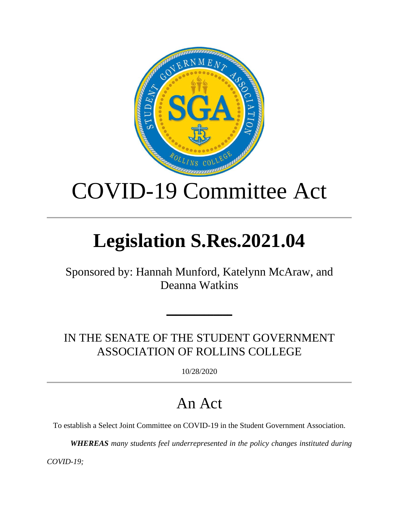

# COVID-19 Committee Act

# **Legislation S.Res.2021.04**

Sponsored by: Hannah Munford, Katelynn McAraw, and Deanna Watkins

IN THE SENATE OF THE STUDENT GOVERNMENT ASSOCIATION OF ROLLINS COLLEGE

━━━━━━━━━━━━━━

10/28/2020

## An Act

To establish a Select Joint Committee on COVID-19 in the Student Government Association.

*WHEREAS many students feel underrepresented in the policy changes instituted during* 

*COVID-19;*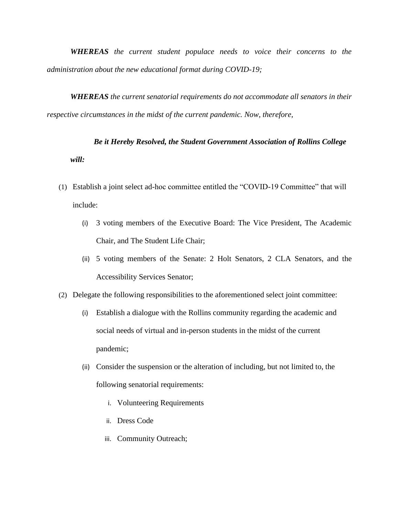*WHEREAS the current student populace needs to voice their concerns to the administration about the new educational format during COVID-19;* 

*WHEREAS the current senatorial requirements do not accommodate all senators in their respective circumstances in the midst of the current pandemic. Now, therefore,*

*Be it Hereby Resolved, the Student Government Association of Rollins College will:*

- (1) Establish a joint select ad-hoc committee entitled the "COVID-19 Committee" that will include:
	- (i) 3 voting members of the Executive Board: The Vice President, The Academic Chair, and The Student Life Chair;
	- (ii) 5 voting members of the Senate: 2 Holt Senators, 2 CLA Senators, and the Accessibility Services Senator;
- (2) Delegate the following responsibilities to the aforementioned select joint committee:
	- (i) Establish a dialogue with the Rollins community regarding the academic and social needs of virtual and in-person students in the midst of the current pandemic;
	- (ii) Consider the suspension or the alteration of including, but not limited to, the following senatorial requirements:
		- i. Volunteering Requirements
		- ii. Dress Code
		- iii. Community Outreach;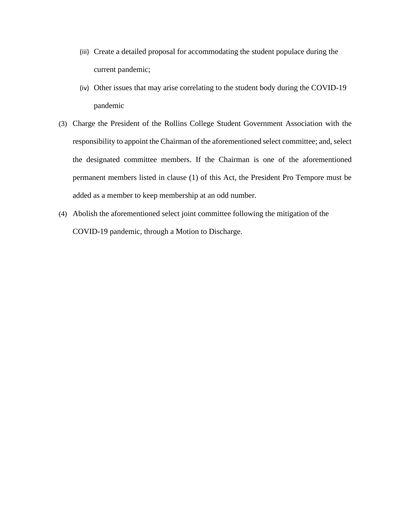- (iii) Create a detailed proposal for accommodating the student populace during the current pandemic;
- (iv) Other issues that may arise correlating to the student body during the COVID-19 pandemic
- (3) Charge the President of the Rollins College Student Government Association with the responsibility to appoint the Chairman of the aforementioned select committee; and, select the designated committee members. If the Chairman is one of the aforementioned permanent members listed in clause (1) of this Act, the President Pro Tempore must be added as a member to keep membership at an odd number.
- (4) Abolish the aforementioned select joint committee following the mitigation of the COVID-19 pandemic, through a Motion to Discharge.